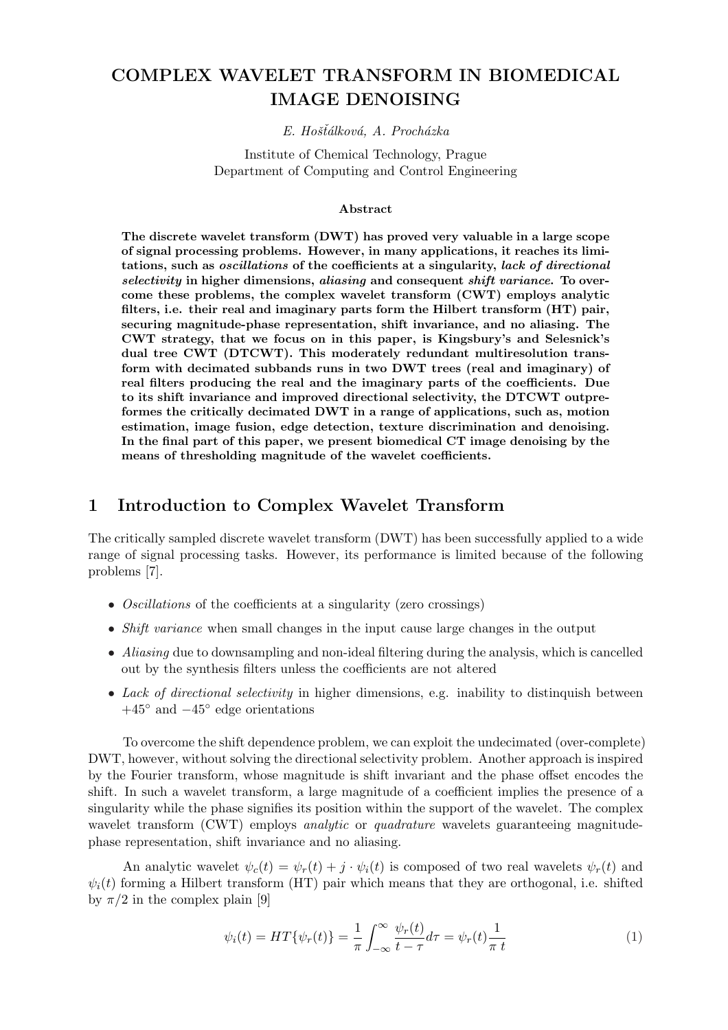# COMPLEX WAVELET TRANSFORM IN BIOMEDICAL IMAGE DENOISING

#### E. Hošťálková, A. Procházka

Institute of Chemical Technology, Prague Department of Computing and Control Engineering

#### Abstract

The discrete wavelet transform (DWT) has proved very valuable in a large scope of signal processing problems. However, in many applications, it reaches its limitations, such as oscillations of the coefficients at a singularity, lack of directional selectivity in higher dimensions, aliasing and consequent shift variance. To overcome these problems, the complex wavelet transform (CWT) employs analytic filters, i.e. their real and imaginary parts form the Hilbert transform (HT) pair, securing magnitude-phase representation, shift invariance, and no aliasing. The CWT strategy, that we focus on in this paper, is Kingsbury's and Selesnick's dual tree CWT (DTCWT). This moderately redundant multiresolution transform with decimated subbands runs in two DWT trees (real and imaginary) of real filters producing the real and the imaginary parts of the coefficients. Due to its shift invariance and improved directional selectivity, the DTCWT outpreformes the critically decimated DWT in a range of applications, such as, motion estimation, image fusion, edge detection, texture discrimination and denoising. In the final part of this paper, we present biomedical CT image denoising by the means of thresholding magnitude of the wavelet coefficients.

## 1 Introduction to Complex Wavelet Transform

The critically sampled discrete wavelet transform (DWT) has been successfully applied to a wide range of signal processing tasks. However, its performance is limited because of the following problems [7].

- Oscillations of the coefficients at a singularity (zero crossings)
- *Shift variance* when small changes in the input cause large changes in the output
- Aliasing due to downsampling and non-ideal filtering during the analysis, which is cancelled out by the synthesis filters unless the coefficients are not altered
- Lack of directional selectivity in higher dimensions, e.g. inability to distinguish between  $+45^{\circ}$  and  $-45^{\circ}$  edge orientations

To overcome the shift dependence problem, we can exploit the undecimated (over-complete) DWT, however, without solving the directional selectivity problem. Another approach is inspired by the Fourier transform, whose magnitude is shift invariant and the phase offset encodes the shift. In such a wavelet transform, a large magnitude of a coefficient implies the presence of a singularity while the phase signifies its position within the support of the wavelet. The complex wavelet transform (CWT) employs *analytic* or *quadrature* wavelets guaranteeing magnitudephase representation, shift invariance and no aliasing.

An analytic wavelet  $\psi_c(t) = \psi_r(t) + j \cdot \psi_i(t)$  is composed of two real wavelets  $\psi_r(t)$  and  $\psi_i(t)$  forming a Hilbert transform (HT) pair which means that they are orthogonal, i.e. shifted by  $\pi/2$  in the complex plain [9]

$$
\psi_i(t) = HT\{\psi_r(t)\} = \frac{1}{\pi} \int_{-\infty}^{\infty} \frac{\psi_r(t)}{t - \tau} d\tau = \psi_r(t) \frac{1}{\pi t}
$$
\n(1)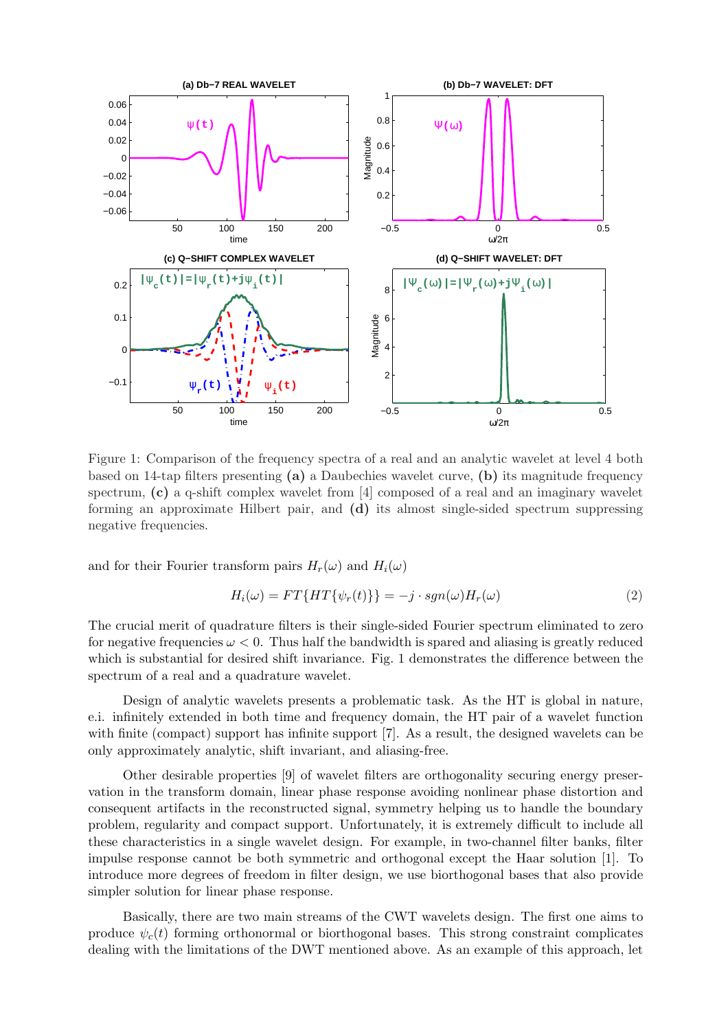

Figure 1: Comparison of the frequency spectra of a real and an analytic wavelet at level 4 both based on 14-tap filters presenting (a) a Daubechies wavelet curve, (b) its magnitude frequency spectrum, (c) a q-shift complex wavelet from [4] composed of a real and an imaginary wavelet forming an approximate Hilbert pair, and (d) its almost single-sided spectrum suppressing negative frequencies.

and for their Fourier transform pairs  $H_r(\omega)$  and  $H_i(\omega)$ 

$$
H_i(\omega) = FT\{HT\{\psi_r(t)\}\} = -j \cdot sgn(\omega)H_r(\omega)
$$
\n(2)

The crucial merit of quadrature filters is their single-sided Fourier spectrum eliminated to zero for negative frequencies  $\omega < 0$ . Thus half the bandwidth is spared and aliasing is greatly reduced which is substantial for desired shift invariance. Fig. 1 demonstrates the difference between the spectrum of a real and a quadrature wavelet.

Design of analytic wavelets presents a problematic task. As the HT is global in nature, e.i. infinitely extended in both time and frequency domain, the HT pair of a wavelet function with finite (compact) support has infinite support [7]. As a result, the designed wavelets can be only approximately analytic, shift invariant, and aliasing-free.

Other desirable properties [9] of wavelet filters are orthogonality securing energy preservation in the transform domain, linear phase response avoiding nonlinear phase distortion and consequent artifacts in the reconstructed signal, symmetry helping us to handle the boundary problem, regularity and compact support. Unfortunately, it is extremely difficult to include all these characteristics in a single wavelet design. For example, in two-channel filter banks, filter impulse response cannot be both symmetric and orthogonal except the Haar solution [1]. To introduce more degrees of freedom in filter design, we use biorthogonal bases that also provide simpler solution for linear phase response.

Basically, there are two main streams of the CWT wavelets design. The first one aims to produce  $\psi_c(t)$  forming orthonormal or biorthogonal bases. This strong constraint complicates dealing with the limitations of the DWT mentioned above. As an example of this approach, let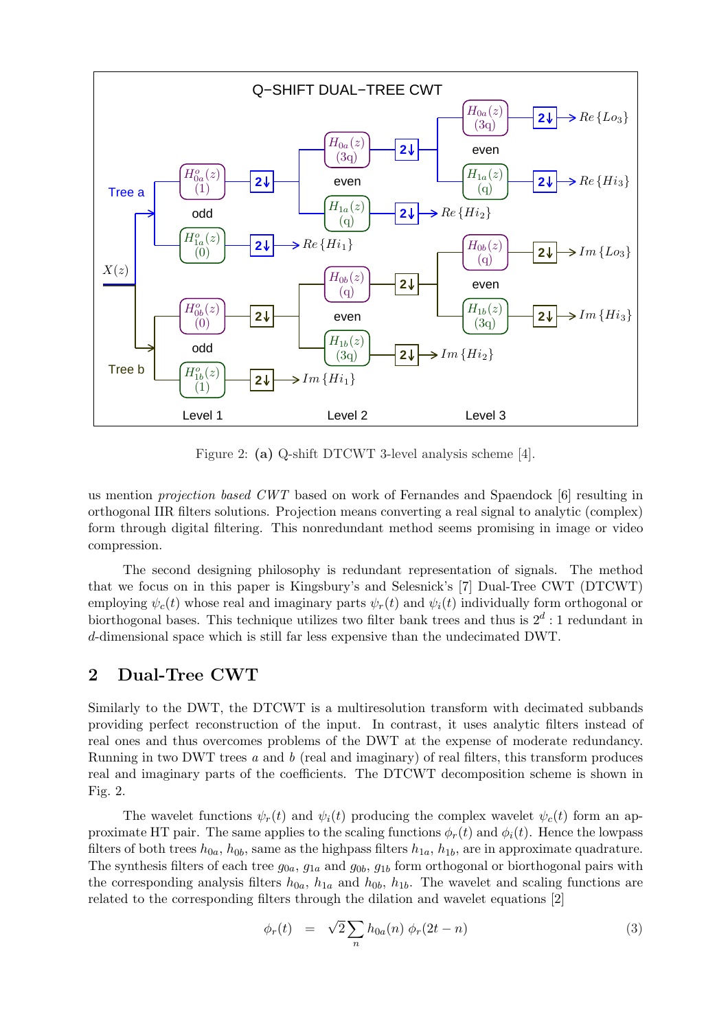

Figure 2: (a) Q-shift DTCWT 3-level analysis scheme [4].

us mention projection based CWT based on work of Fernandes and Spaendock [6] resulting in orthogonal IIR filters solutions. Projection means converting a real signal to analytic (complex) form through digital filtering. This nonredundant method seems promising in image or video compression.

The second designing philosophy is redundant representation of signals. The method that we focus on in this paper is Kingsbury's and Selesnick's [7] Dual-Tree CWT (DTCWT) employing  $\psi_c(t)$  whose real and imaginary parts  $\psi_r(t)$  and  $\psi_i(t)$  individually form orthogonal or biorthogonal bases. This technique utilizes two filter bank trees and thus is  $2^d:1$  redundant in d-dimensional space which is still far less expensive than the undecimated DWT.

## 2 Dual-Tree CWT

Similarly to the DWT, the DTCWT is a multiresolution transform with decimated subbands providing perfect reconstruction of the input. In contrast, it uses analytic filters instead of real ones and thus overcomes problems of the DWT at the expense of moderate redundancy. Running in two DWT trees a and b (real and imaginary) of real filters, this transform produces real and imaginary parts of the coefficients. The DTCWT decomposition scheme is shown in Fig. 2.

The wavelet functions  $\psi_r(t)$  and  $\psi_i(t)$  producing the complex wavelet  $\psi_c(t)$  form an approximate HT pair. The same applies to the scaling functions  $\phi_r(t)$  and  $\phi_i(t)$ . Hence the lowpass filters of both trees  $h_{0a}$ ,  $h_{0b}$ , same as the highpass filters  $h_{1a}$ ,  $h_{1b}$ , are in approximate quadrature. The synthesis filters of each tree  $g_{0a}$ ,  $g_{1a}$  and  $g_{0b}$ ,  $g_{1b}$  form orthogonal or biorthogonal pairs with the corresponding analysis filters  $h_{0a}$ ,  $h_{1a}$  and  $h_{0b}$ ,  $h_{1b}$ . The wavelet and scaling functions are related to the corresponding filters through the dilation and wavelet equations [2]

$$
\phi_r(t) = \sqrt{2} \sum_n h_{0a}(n) \phi_r(2t - n) \tag{3}
$$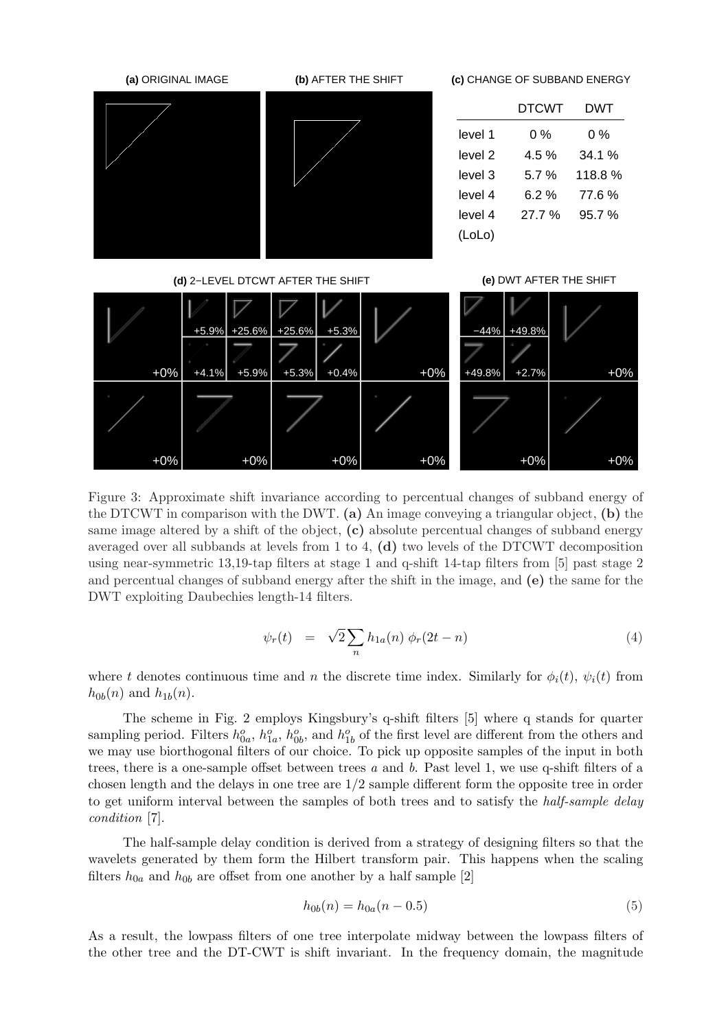

Figure 3: Approximate shift invariance according to percentual changes of subband energy of the DTCWT in comparison with the DWT. (a) An image conveying a triangular object, (b) the same image altered by a shift of the object, (c) absolute percentual changes of subband energy averaged over all subbands at levels from 1 to 4, (d) two levels of the DTCWT decomposition using near-symmetric 13,19-tap filters at stage 1 and q-shift 14-tap filters from [5] past stage 2 and percentual changes of subband energy after the shift in the image, and (e) the same for the DWT exploiting Daubechies length-14 filters.

$$
\psi_r(t) = \sqrt{2} \sum_n h_{1a}(n) \phi_r(2t - n) \tag{4}
$$

where t denotes continuous time and n the discrete time index. Similarly for  $\phi_i(t)$ ,  $\psi_i(t)$  from  $h_{0b}(n)$  and  $h_{1b}(n)$ .

The scheme in Fig. 2 employs Kingsbury's q-shift filters [5] where q stands for quarter sampling period. Filters  $h_{0a}^o$ ,  $h_{1a}^o$ ,  $h_{0b}^o$ , and  $h_{1b}^o$  of the first level are different from the others and we may use biorthogonal filters of our choice. To pick up opposite samples of the input in both trees, there is a one-sample offset between trees  $a$  and  $b$ . Past level 1, we use q-shift filters of a chosen length and the delays in one tree are 1/2 sample different form the opposite tree in order to get uniform interval between the samples of both trees and to satisfy the half-sample delay condition [7].

The half-sample delay condition is derived from a strategy of designing filters so that the wavelets generated by them form the Hilbert transform pair. This happens when the scaling filters  $h_{0a}$  and  $h_{0b}$  are offset from one another by a half sample [2]

$$
h_{0b}(n) = h_{0a}(n - 0.5)
$$
\n(5)

As a result, the lowpass filters of one tree interpolate midway between the lowpass filters of the other tree and the DT-CWT is shift invariant. In the frequency domain, the magnitude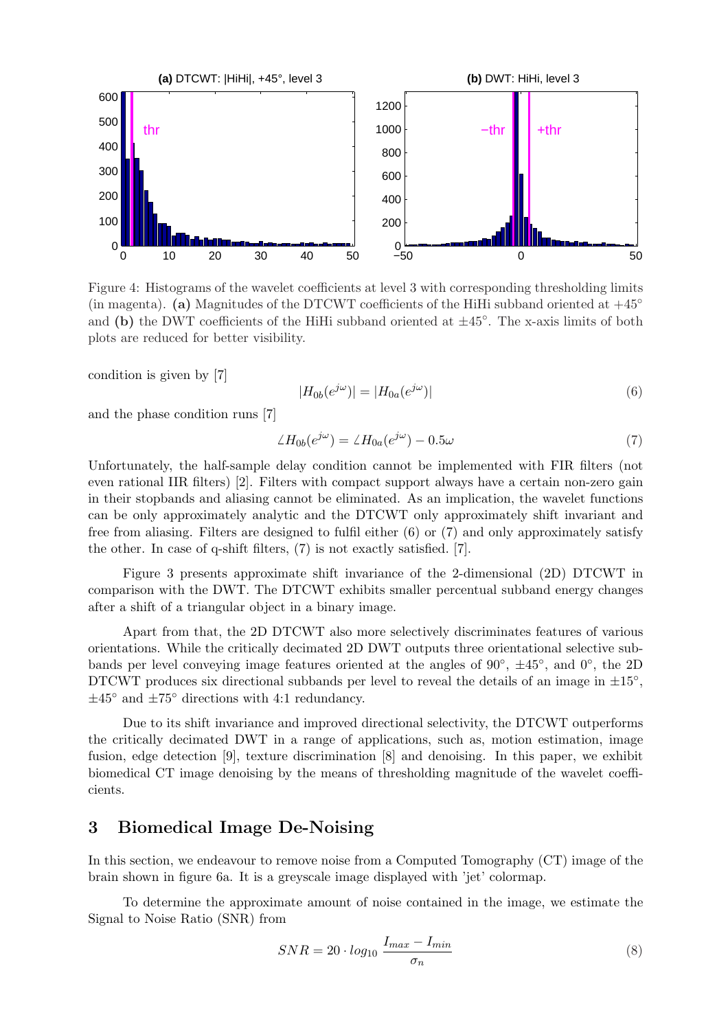

Figure 4: Histograms of the wavelet coefficients at level 3 with corresponding thresholding limits (in magenta). (a) Magnitudes of the DTCWT coefficients of the HiHi subband oriented at  $+45°$ and (b) the DWT coefficients of the HiHi subband oriented at  $\pm 45^\circ$ . The x-axis limits of both plots are reduced for better visibility.

condition is given by [7]

$$
|H_{0b}(e^{j\omega})| = |H_{0a}(e^{j\omega})|
$$
\n(6)

and the phase condition runs [7]

$$
\angle H_{0b}(e^{j\omega}) = \angle H_{0a}(e^{j\omega}) - 0.5\omega \tag{7}
$$

Unfortunately, the half-sample delay condition cannot be implemented with FIR filters (not even rational IIR filters) [2]. Filters with compact support always have a certain non-zero gain in their stopbands and aliasing cannot be eliminated. As an implication, the wavelet functions can be only approximately analytic and the DTCWT only approximately shift invariant and free from aliasing. Filters are designed to fulfil either (6) or (7) and only approximately satisfy the other. In case of q-shift filters, (7) is not exactly satisfied. [7].

Figure 3 presents approximate shift invariance of the 2-dimensional (2D) DTCWT in comparison with the DWT. The DTCWT exhibits smaller percentual subband energy changes after a shift of a triangular object in a binary image.

Apart from that, the 2D DTCWT also more selectively discriminates features of various orientations. While the critically decimated 2D DWT outputs three orientational selective subbands per level conveying image features oriented at the angles of  $90^{\circ}$ ,  $\pm 45^{\circ}$ , and  $0^{\circ}$ , the 2D DTCWT produces six directional subbands per level to reveal the details of an image in  $\pm 15^{\circ}$ ,  $\pm 45^{\circ}$  and  $\pm 75^{\circ}$  directions with 4:1 redundancy.

Due to its shift invariance and improved directional selectivity, the DTCWT outperforms the critically decimated DWT in a range of applications, such as, motion estimation, image fusion, edge detection [9], texture discrimination [8] and denoising. In this paper, we exhibit biomedical CT image denoising by the means of thresholding magnitude of the wavelet coefficients.

## 3 Biomedical Image De-Noising

In this section, we endeavour to remove noise from a Computed Tomography (CT) image of the brain shown in figure 6a. It is a greyscale image displayed with 'jet' colormap.

To determine the approximate amount of noise contained in the image, we estimate the Signal to Noise Ratio (SNR) from

$$
SNR = 20 \cdot log_{10} \frac{I_{max} - I_{min}}{\sigma_n} \tag{8}
$$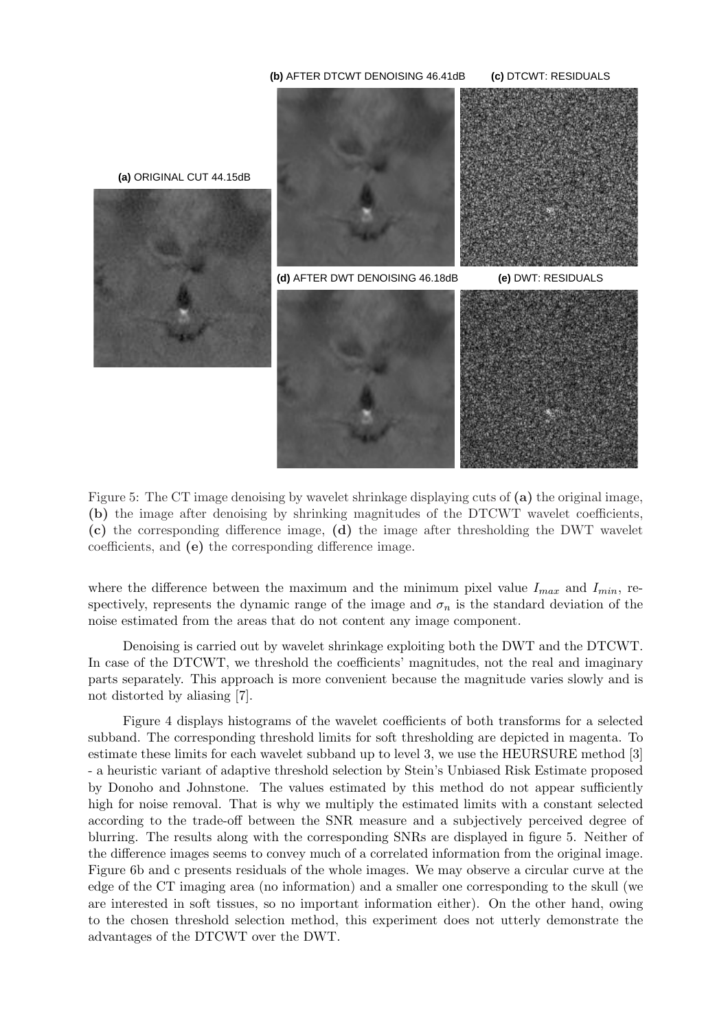

Figure 5: The CT image denoising by wavelet shrinkage displaying cuts of (a) the original image, (b) the image after denoising by shrinking magnitudes of the DTCWT wavelet coefficients, (c) the corresponding difference image, (d) the image after thresholding the DWT wavelet coefficients, and (e) the corresponding difference image.

where the difference between the maximum and the minimum pixel value  $I_{max}$  and  $I_{min}$ , respectively, represents the dynamic range of the image and  $\sigma_n$  is the standard deviation of the noise estimated from the areas that do not content any image component.

Denoising is carried out by wavelet shrinkage exploiting both the DWT and the DTCWT. In case of the DTCWT, we threshold the coefficients' magnitudes, not the real and imaginary parts separately. This approach is more convenient because the magnitude varies slowly and is not distorted by aliasing [7].

Figure 4 displays histograms of the wavelet coefficients of both transforms for a selected subband. The corresponding threshold limits for soft thresholding are depicted in magenta. To estimate these limits for each wavelet subband up to level 3, we use the HEURSURE method [3] - a heuristic variant of adaptive threshold selection by Stein's Unbiased Risk Estimate proposed by Donoho and Johnstone. The values estimated by this method do not appear sufficiently high for noise removal. That is why we multiply the estimated limits with a constant selected according to the trade-off between the SNR measure and a subjectively perceived degree of blurring. The results along with the corresponding SNRs are displayed in figure 5. Neither of the difference images seems to convey much of a correlated information from the original image. Figure 6b and c presents residuals of the whole images. We may observe a circular curve at the edge of the CT imaging area (no information) and a smaller one corresponding to the skull (we are interested in soft tissues, so no important information either). On the other hand, owing to the chosen threshold selection method, this experiment does not utterly demonstrate the advantages of the DTCWT over the DWT.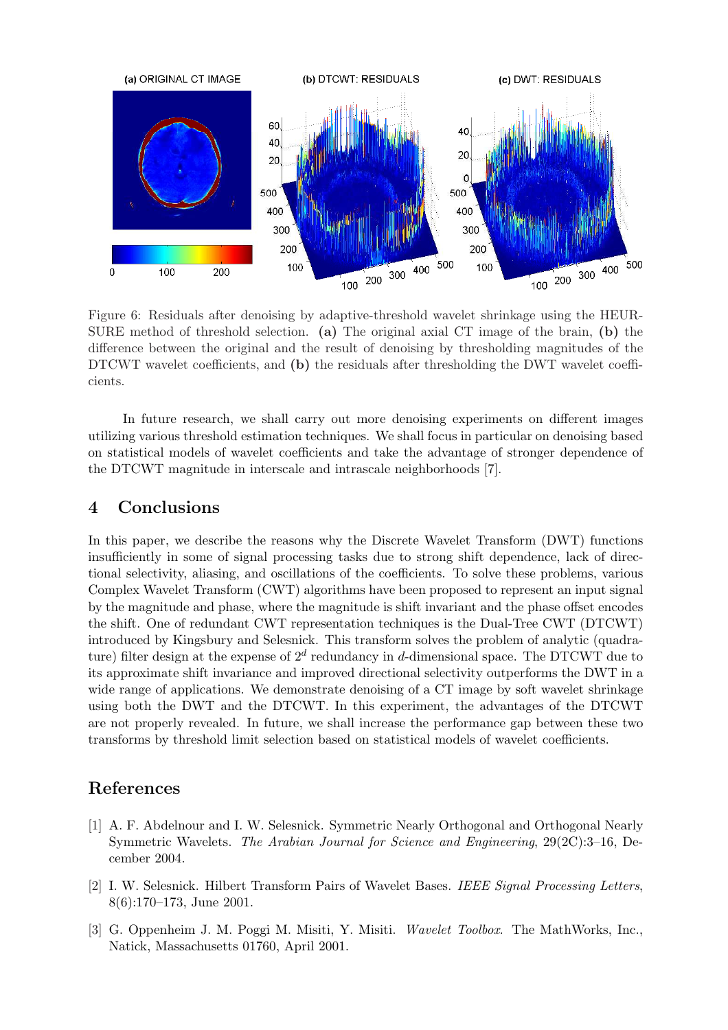

Figure 6: Residuals after denoising by adaptive-threshold wavelet shrinkage using the HEUR-SURE method of threshold selection. (a) The original axial CT image of the brain, (b) the difference between the original and the result of denoising by thresholding magnitudes of the DTCWT wavelet coefficients, and (b) the residuals after thresholding the DWT wavelet coefficients.

In future research, we shall carry out more denoising experiments on different images utilizing various threshold estimation techniques. We shall focus in particular on denoising based on statistical models of wavelet coefficients and take the advantage of stronger dependence of the DTCWT magnitude in interscale and intrascale neighborhoods [7].

#### 4 Conclusions

In this paper, we describe the reasons why the Discrete Wavelet Transform (DWT) functions insufficiently in some of signal processing tasks due to strong shift dependence, lack of directional selectivity, aliasing, and oscillations of the coefficients. To solve these problems, various Complex Wavelet Transform (CWT) algorithms have been proposed to represent an input signal by the magnitude and phase, where the magnitude is shift invariant and the phase offset encodes the shift. One of redundant CWT representation techniques is the Dual-Tree CWT (DTCWT) introduced by Kingsbury and Selesnick. This transform solves the problem of analytic (quadrature) filter design at the expense of  $2^d$  redundancy in d-dimensional space. The DTCWT due to its approximate shift invariance and improved directional selectivity outperforms the DWT in a wide range of applications. We demonstrate denoising of a CT image by soft wavelet shrinkage using both the DWT and the DTCWT. In this experiment, the advantages of the DTCWT are not properly revealed. In future, we shall increase the performance gap between these two transforms by threshold limit selection based on statistical models of wavelet coefficients.

## References

- [1] A. F. Abdelnour and I. W. Selesnick. Symmetric Nearly Orthogonal and Orthogonal Nearly Symmetric Wavelets. The Arabian Journal for Science and Engineering, 29(2C):3–16, December 2004.
- [2] I. W. Selesnick. Hilbert Transform Pairs of Wavelet Bases. IEEE Signal Processing Letters, 8(6):170–173, June 2001.
- [3] G. Oppenheim J. M. Poggi M. Misiti, Y. Misiti. Wavelet Toolbox. The MathWorks, Inc., Natick, Massachusetts 01760, April 2001.